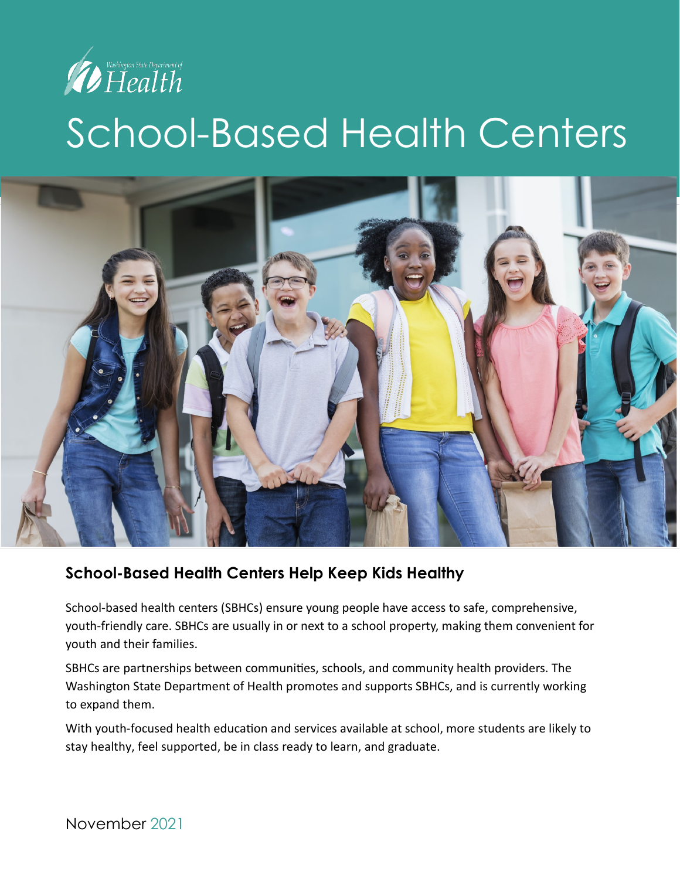

# School-Based Health Centers



#### **School-Based Health Centers Help Keep Kids Healthy**

School-based health centers (SBHCs) ensure young people have access to safe, comprehensive, youth-friendly care. SBHCs are usually in or next to a school property, making them convenient for youth and their families.

SBHCs are partnerships between communities, schools, and community health providers. The Washington State Department of Health promotes and supports SBHCs, and is currently working to expand them.

With youth-focused health education and services available at school, more students are likely to stay healthy, feel supported, be in class ready to learn, and graduate.